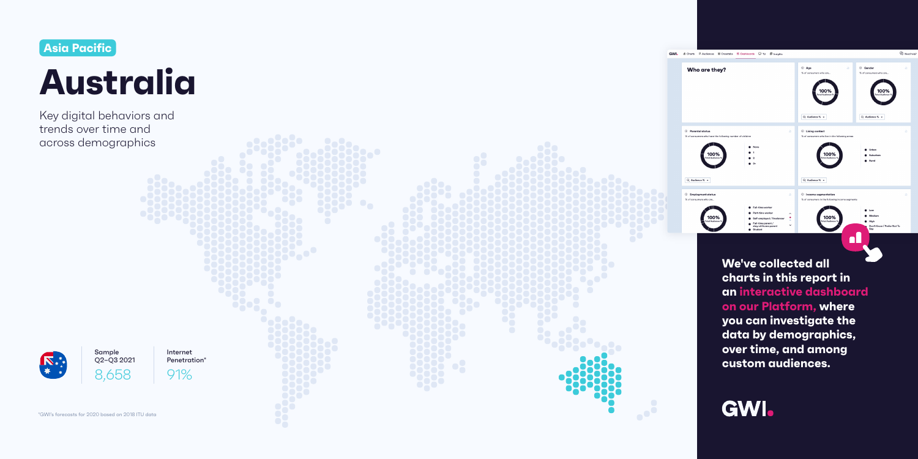# **We've collected all charts in this report in an interactive dashboard**





**you can investigate the** 

**data by demographics,** 

**over time, and among** 

**custom audiences.**

\*GWI's forecasts for 2020 based on 2018 ITU data



Key digital behaviors and trends over time and across demographics



Sample Q2−Q3 2021 8,658

Internet Penetration\*

91%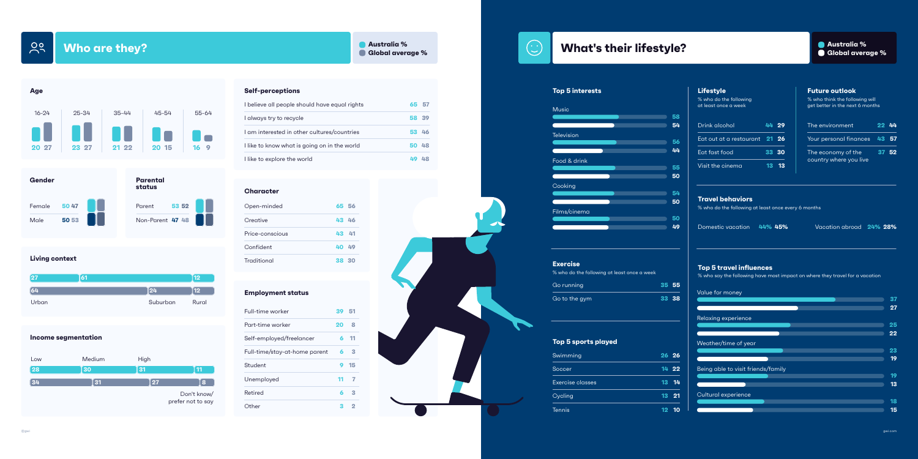**Who are they? Global average %** 

 $\frac{00}{1}$ 





Value for money

# Relaxing experience

Weather/time of year

Being able to visit friends/family

Cultural experience







#### **Income segmentation**

|                 | 61 |          | 12            |
|-----------------|----|----------|---------------|
| $\overline{64}$ |    | 24       | $\mathbf{12}$ |
| Urban           |    | Suburban | Rural         |

| Swimming                | $26\quad 26$ |  |
|-------------------------|--------------|--|
| Soccer                  | 14 22        |  |
| <b>Exercise classes</b> | 13 14        |  |
| Cycling                 | 13 21        |  |
| <b>Tennis</b>           | 12 10        |  |

## **Top 5 sports played**

| <b>Lifestyle</b><br>% who do the following<br>at least once a week |    |       | <b>Future outlook</b><br>% who think the following will<br>get better in the next 6 months |    |
|--------------------------------------------------------------------|----|-------|--------------------------------------------------------------------------------------------|----|
| Drink alcohol                                                      |    | 44 29 | The environment                                                                            | 44 |
| Eat out at a restaurant $\,$ 21 $\,$ 26 $\,$                       |    |       | Your personal finances<br><b>57</b><br>43.                                                 |    |
| Eat fast food                                                      |    | 33 30 | The economy of the                                                                         | 52 |
| Visit the cinema                                                   | 13 | 13    | country where you live                                                                     |    |
|                                                                    |    |       |                                                                                            |    |

| Go running    | 35 55 |       |
|---------------|-------|-------|
| Go to the gym |       | 33 38 |

#### **Exercise**

% who do the following at least once a week

## **Travel behaviors**

% who do the following at least once every 6 months

## **Top 5 travel influences**

% who say the following have most impact on where they travel for a vacation

| I believe all people should have equal rights |
|-----------------------------------------------|
| I always try to recycle                       |
| I am interested in other cultures/countries   |
| I like to know what is going on in the world  |
| I like to explore the world                   |

| Full-time worker              | 39 51 |                |
|-------------------------------|-------|----------------|
| Part-time worker              | 20    | 8              |
| Self-employed/freelancer      | 6     | 11             |
| Full-time/stay-at-home parent | 6     | $\mathbf{B}$   |
| Student                       | 9     | 15             |
| Unemployed                    | 11    | $\overline{7}$ |
| Retired                       | 6     | 3              |
| Other                         | 3     | 2              |

# **65 57 58 39 53 46 50 48 49 48**

# **Australia % What's their lifestyle? Generally a subset of the Manufaxia Manufaxia Manufaxia Manufaxia Manufaxia Manufaxia Manufaxia Manufaxia Manufaxia Manufaxia Manufaxia Manufaxia Manufaxia Manufaxia Manufaxia Manuf**

## **Top 5 interests**

#### **Employment status**

#### **Character**

## **Self-perceptions**

| Open-minded     | 65 56 |  |
|-----------------|-------|--|
| Creative        | 43 46 |  |
| Price-conscious | 43 41 |  |
| Confident       | 40 49 |  |
| Traditional     | 38 30 |  |

Domestic vacation **44% 45%** Vacation abroad **24% 28%**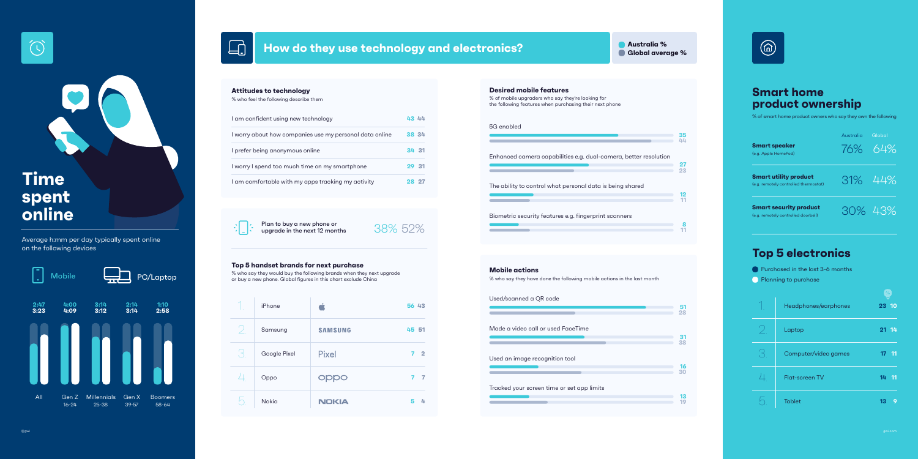| Enhanced camera capabilities e.g. dual-camera, better resolution |          |
|------------------------------------------------------------------|----------|
|                                                                  | 27<br>23 |
| The ability to control what personal data is being shared        |          |
|                                                                  |          |
|                                                                  |          |
| Biometric security features e.g. fingerprint scanners            |          |
|                                                                  |          |

# 38% 52%

**35**

#### Used/scanned a QR code

|            | <b>Desired mobile features</b>                                                                               |
|------------|--------------------------------------------------------------------------------------------------------------|
|            | % of mobile upgraders who say they're looking for<br>the following features when purchasing their next phone |
| 5G enabled |                                                                                                              |
|            |                                                                                                              |
|            |                                                                                                              |
|            | Enhanced camera capabilities e.a. dual-camera                                                                |

|                                            | 51<br>28 |
|--------------------------------------------|----------|
| Made a video call or used FaceTime         |          |
|                                            | 31<br>38 |
| Used an image recognition tool             |          |
|                                            | 16<br>30 |
| Tracked your screen time or set app limits |          |
|                                            | 13<br>10 |

|                                                                    | iPhone       |                |
|--------------------------------------------------------------------|--------------|----------------|
| $\overline{\phantom{a}}$                                           | Samsung      | <b>SAMSUNG</b> |
| $\left( \begin{array}{c} \nearrow \\ \searrow \end{array} \right)$ | Google Pixel | <b>Pixel</b>   |
| $\perp$                                                            | Oppo         | oppo           |
|                                                                    | <b>Nokia</b> | <b>NOKIA</b>   |

| 56 43 |                |
|-------|----------------|
| 45 51 |                |
|       | 7 <sub>2</sub> |
|       | 7 <sub>7</sub> |
|       | 5 4            |





**Smart speaker**  $(e.g.$ 

**Sm**  $(e.g.$ 

**Sm**  $(e.g.$ 

I worry about how companies use my personal data online

I prefer being anonymous online

I worry I spend too much time on my smartphone

I am comfortable with my apps tracking my activity



Plan to buy a new phone or<br>upgrade in the next 12 months

**43 44**

**38 34**

**34 31**

**29 31**

**28 27**

#### **Attitudes to technology**

% who feel the following describe them

I am confident using new technology

#### **Mobile actions**

% who say they have done the following mobile actions in the last month

#### **Top 5 handset brands for next purchase**

Mobile **PC/Laptop**  $\blacksquare$  PC/Laptop  $\blacksquare$  are buy a new phone. Global figures in this chart exclude China or buy a new phone. Global figures in this chart exclude China

Average h:mm per day typically spent online on the following devices

| rt speaker<br>ople HomePod)                         | Australia | Global<br>76% 64% |
|-----------------------------------------------------|-----------|-------------------|
| rt utility product<br>motely controlled thermostat) |           | 31% 44%           |
| rt security product<br>motely controlled doorbell)  |           | 30% 43%           |

# **Top 5 electronics**

**Purchased in the last 3-6 months** 

**Planning to purchase** 

| Headphones/earphones  | 10<br>23                           |
|-----------------------|------------------------------------|
| Laptop                | 21 14                              |
| Computer/video games  | 17 <sup>2</sup><br>$\overline{1}1$ |
| <b>Flat-screen TV</b> | 14<br>11                           |
| <b>Tablet</b>         | 3                                  |

1. 2. 3.  $\perp$ . 5.



# **Smart home product ownership**

% of smart home product owners who say they own the following



# **Time spent online**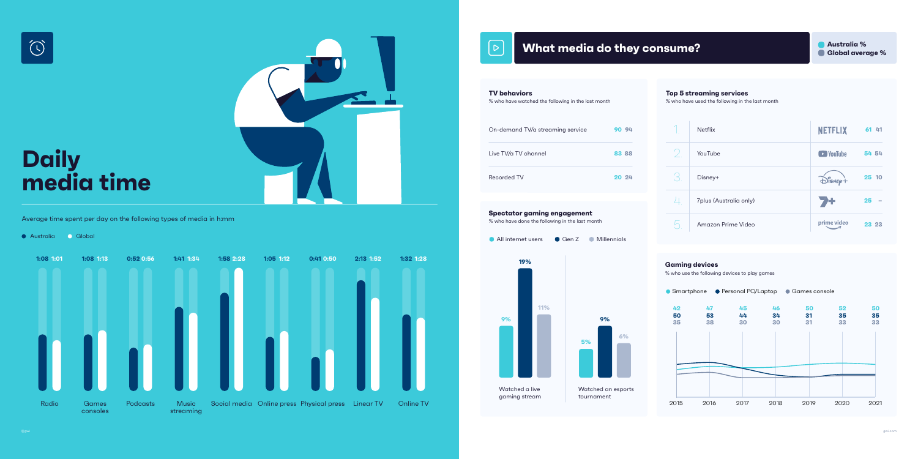





# $\mathcal{P}$

# **What media do they consume? Generally a straig with the straig of the straig with the straig of Australia %**

Australia Global





Average time spent per day on the following types of media in h:mm





**9%**

**6%**

#### **Spectator gaming engagement**

% who have done the following in the last month

#### **TV behaviors**

% who have watched the following in the last month

| On-demand TV/a streaming service | 90 94 |
|----------------------------------|-------|
| Live TV/a TV channel             | 83 88 |
| Recorded TV                      | 20 24 |

## **Gaming devices**



% who use the following devices to play games

|                              | <b>Netflix</b>         | <b>NETFLIX</b>                       | 61 41 |
|------------------------------|------------------------|--------------------------------------|-------|
| $\bigvee$                    | YouTube                | <i><b>VouTube</b></i>                | 54 54 |
| $\left\langle \right\rangle$ | Disney+                | $\sum_{i=1}^{n}$ isnep $\frac{1}{n}$ | 25 10 |
|                              | 7plus (Australia only) |                                      | 25    |
| $\bigcup$                    | Amazon Prime Video     | prime video                          | 23 23 |

#### **Top 5 streaming services**

% who have used the following in the last month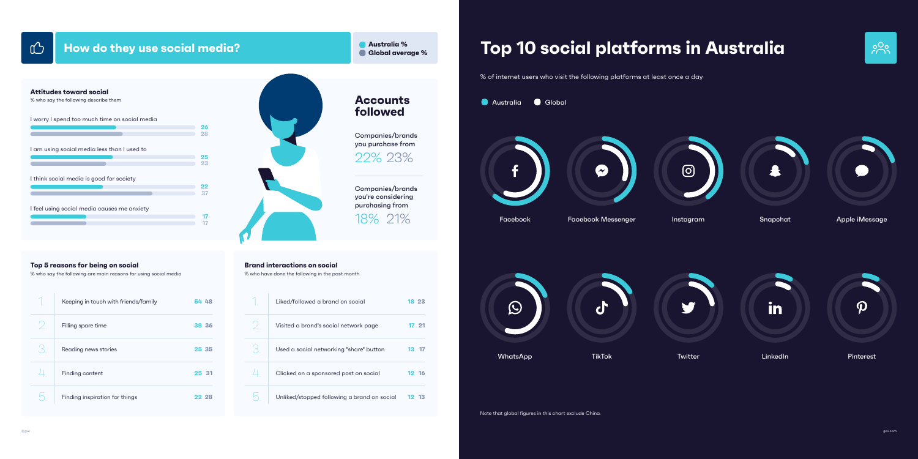# **How do they use social media? General and Service Service Service Service Service Service Service Service Service Service Service Service Service Service Service Service Service Service Service Service Service Service S**

@gwi gwi.com

| I worry I spend too much time on social media |    |
|-----------------------------------------------|----|
|                                               | 26 |
|                                               | 28 |
| I am using social media less than I used to   |    |
|                                               | 25 |
|                                               | 23 |
| I think social media is good for society      | 22 |
|                                               | 37 |
| I feel using social media causes me anxiety   |    |
|                                               |    |
|                                               |    |
|                                               |    |



Companies/brands you purchase from

Companies/brands you're considering purchasing from

22% 23%

18% 21%

## **Accounts followed**

| Keeping in touch with friends/family | 54 48 |
|--------------------------------------|-------|
| Filling spare time                   | 38 36 |
| Reading news stories                 | 25 35 |
| Finding content                      | 25 31 |
| Finding inspiration for things       | 22 28 |

#### **Top 5 reasons for being on social**

% who say the following are main reasons for using social media

| Liked/followed a brand on social            | 18 23     |
|---------------------------------------------|-----------|
| Visited a brand's social network page       | $-21$     |
| Used a social networking "share" button     | 13        |
| Clicked on a sponsored post on social       | 12 16     |
| Unliked/stopped following a brand on social | -13<br>12 |

## **Brand interactions on social**

% who have done the following in the past month

#### **Attitudes toward social**

% who say the following describe them

# **Australia % Top 10 social platforms in Australia**





 $\rightarrow$ 



Note that global figures in this chart exclude China.







% of internet users who visit the following platforms at least once a day

Snapchat

Facebook Instagram Apple iMessage Facebook Messenger





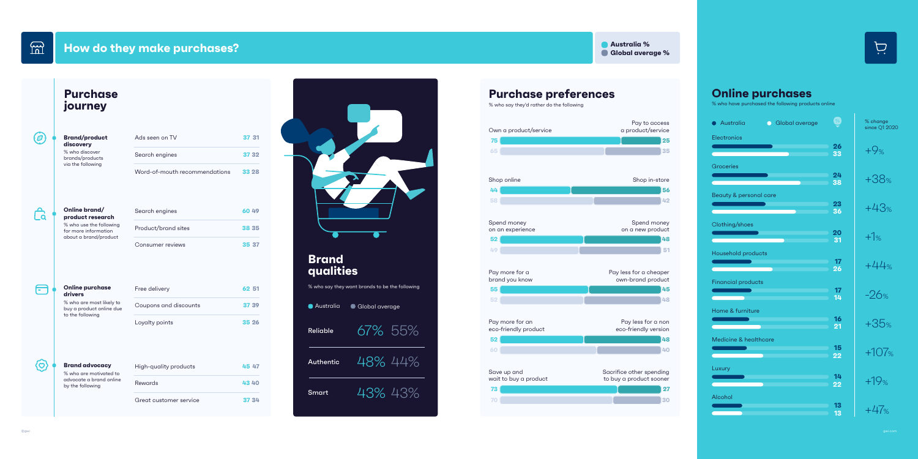$m$ 

# **How do they make purchases? Global average %** and the state of the state of the state of the state of the state of the state of the state of the state of the state of the state of the state of the state of the state of





# **Purchase preferences**

% who say they'd rather do the following

**Online purchases** % who have purchased the following products online

| Global average<br>$\bullet$ | ℅        | % change<br>since Q1 2020 |
|-----------------------------|----------|---------------------------|
|                             | 26<br>33 | $+9%$                     |
|                             | 24<br>38 | $+38%$                    |
| care                        | 23<br>36 | $+43%$                    |
|                             | 20<br>31 | $+1%$                     |
| Ś                           | 17<br>26 | $+44%$                    |
|                             | 17<br>14 | $-26%$                    |
|                             | 16<br>21 | $+35%$                    |
| are                         | 15<br>22 | $+107%$                   |
|                             | 14<br>22 | $+19%$                    |
|                             | 13<br>13 | $+47%$                    |



| <b>Brand<br/>qualities</b>    |  |
|-------------------------------|--|
| % who say they want brands to |  |



67% 55%

48% 44%

43% 43%

| Ads seen on TV                | 37 31 |
|-------------------------------|-------|
| Search engines                | 37 32 |
| Word-of-mouth recommendations | 33 28 |

# $\mathbf{B}$

 $\bigoplus$ 

(၀)

 $\boldsymbol{\varpi}$ 

| Search engines      | 6049  |
|---------------------|-------|
| Product/brand sites | 38 35 |
| Consumer reviews    | 35 37 |

| High-quality products  | 45 47 |
|------------------------|-------|
| <b>Rewards</b>         | 4340  |
| Great customer service | 37 34 |

#### **Brand/product discovery**

% who discover brands/products via the following

| <b>drivers</b> | <b>Online purchase</b>                                                   | Free delivery         | 62 51 |
|----------------|--------------------------------------------------------------------------|-----------------------|-------|
|                | % who are most likely to<br>buy a product online due<br>to the following | Coupons and discounts | 37 39 |
|                |                                                                          | Loyalty points        | 35 26 |

#### **Online brand/ product research**

% who use the following for more information about a brand/product

#### **Brand advocacy**

% who are motivated to advocate a brand online by the following

# **Purchase journey**



o be the following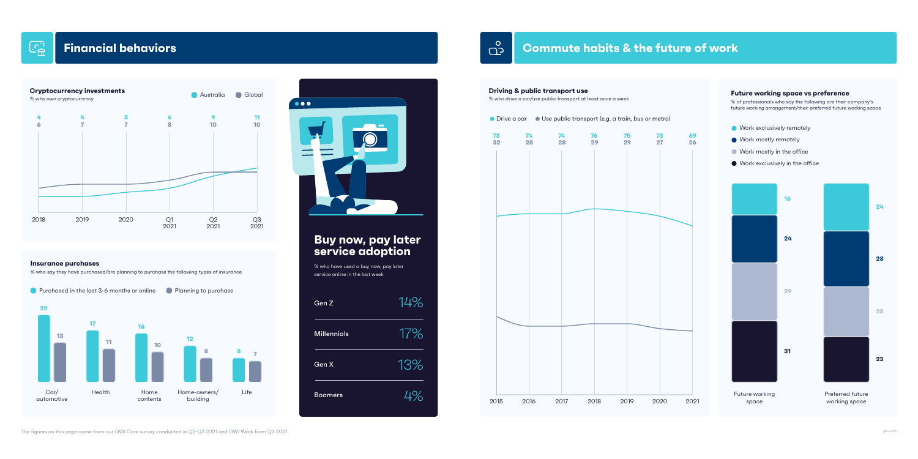## **Cryptocurrency investments**





# **Buy now, pay later service adoption**



14% 17% 13% 4%

% who have used a buy now, pay later service online in the last week

Australia Global

#### **Insurance purchases**

% who say they have purchased/are planning to purchase the following types of insurance

**Purchased in the last 3-6 months or online** Planning to purchase



 $\bullet\bullet\bullet$  $\overline{\phantom{0}}$ 

- **Work exclusively remotely** 
	-
- **Work mostly in the office**
- Work exclusively in the office

# **Commute habits & the future of work**





## **Future working space vs preference**

% of professionals who say the following are their company's future working arrangement/their preferred future working space

Future working space





The figures on this page come from our GWI Core survey conducted in Q2-Q3 2021 and GWI Work from Q3 2021

 $\overline{\mathbb{C}}$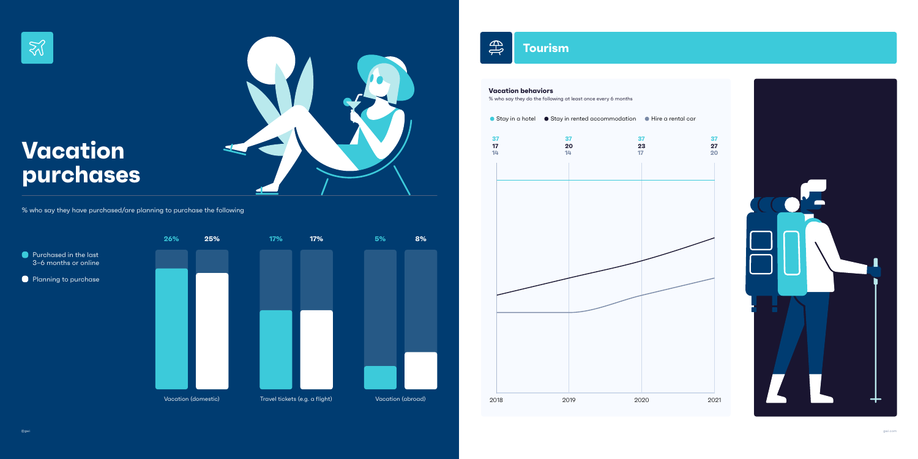gwi.com



## **Vacation behaviors**

 $\bigoplus$ 

% who say they do the following at least once every 6 months